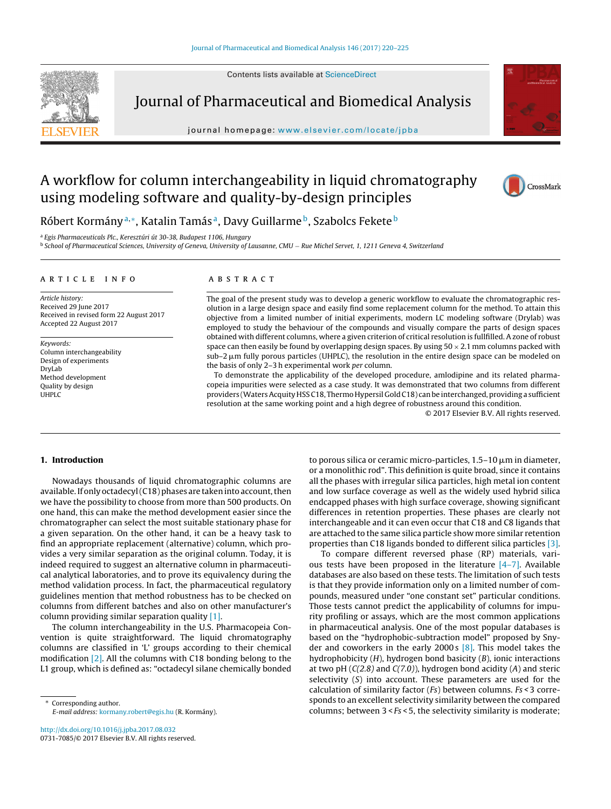Contents lists available at [ScienceDirect](http://www.sciencedirect.com/science/journal/07317085)



Journal of Pharmaceutical and Biomedical Analysis

journal homepage: [www.elsevier.com/locate/jpba](http://www.elsevier.com/locate/jpba)



# A workflow for column interchangeability in liquid chromatography using modeling software and quality-by-design principles



# Róbert Kormány<sup>a,∗</sup>, Katalin Tamás<sup>a</sup>, Davy Guillarme<sup>b</sup>, Szabolcs Fekete<sup>b</sup>

<sup>a</sup> Egis Pharmaceuticals Plc., Keresztúri út 30-38, Budapest 1106, Hungary

<sup>b</sup> School of Pharmaceutical Sciences, University of Geneva, University of Lausanne, CMU <sup>−</sup> Rue Michel Servet, 1, <sup>1211</sup> Geneva 4, Switzerland

## a r t i c l e i n f o

Article history: Received 29 June 2017 Received in revised form 22 August 2017 Accepted 22 August 2017

Keywords: Column interchangeability Design of experiments DryLab Method development Quality by design UHPLC

# A B S T R A C T

The goal of the present study was to develop a generic workflow to evaluate the chromatographic resolution in a large design space and easily find some replacement column for the method. To attain this objective from a limited number of initial experiments, modern LC modeling software (Drylab) was employed to study the behaviour of the compounds and visually compare the parts of design spaces obtained with different columns, where a given criterion of critical resolution is fullfilled. A zone of robust space can then easily be found by overlapping design spaces. By using  $50 \times 2.1$  mm columns packed with sub–2  $\mu$ m fully porous particles (UHPLC), the resolution in the entire design space can be modeled on the basis of only 2–3 h experimental work per column.

To demonstrate the applicability of the developed procedure, amlodipine and its related pharmacopeia impurities were selected as a case study. It was demonstrated that two columns from different providers (Waters Acquity HSS C18, Thermo Hypersil Gold C18) can be interchanged, providing a sufficient resolution at the same working point and a high degree of robustness around this condition.

© 2017 Elsevier B.V. All rights reserved.

### **1. Introduction**

Nowadays thousands of liquid chromatographic columns are available. If only octadecyl  $(C18)$  phases are taken into account, then we have the possibility to choose from more than 500 products. On one hand, this can make the method development easier since the chromatographer can select the most suitable stationary phase for a given separation. On the other hand, it can be a heavy task to find an appropriate replacement (alternative) column, which provides a very similar separation as the original column. Today, it is indeed required to suggest an alternative column in pharmaceutical analytical laboratories, and to prove its equivalency during the method validation process. In fact, the pharmaceutical regulatory guidelines mention that method robustness has to be checked on columns from different batches and also on other manufacturer's column providing similar separation quality [\[1\].](#page--1-0)

The column interchangeability in the U.S. Pharmacopeia Convention is quite straightforward. The liquid chromatography columns are classified in 'L' groups according to their chemical modification [\[2\].](#page--1-0) All the columns with C18 bonding belong to the L1 group, which is defined as: "octadecyl silane chemically bonded

∗ Corresponding author. E-mail address: [kormany.robert@egis.hu](mailto:kormany.robert@egis.hu) (R. Kormány).

[http://dx.doi.org/10.1016/j.jpba.2017.08.032](dx.doi.org/10.1016/j.jpba.2017.08.032) 0731-7085/© 2017 Elsevier B.V. All rights reserved. to porous silica or ceramic micro-particles, 1.5–10  $\mu$ m in diameter, or a monolithic rod". This definition is quite broad, since it contains all the phases with irregular silica particles, high metal ion content and low surface coverage as well as the widely used hybrid silica endcapped phases with high surface coverage, showing significant differences in retention properties. These phases are clearly not interchangeable and it can even occur that C18 and C8 ligands that are attached to the same silica particle show more similar retention properties than C18 ligands bonded to different silica particles [\[3\].](#page--1-0)

To compare different reversed phase (RP) materials, various tests have been proposed in the literature  $[4-7]$ . Available databases are also based on these tests. The limitation of such tests is that they provide information only on a limited number of compounds, measured under "one constant set" particular conditions. Those tests cannot predict the applicability of columns for impurity profiling or assays, which are the most common applications in pharmaceutical analysis. One of the most popular databases is based on the "hydrophobic-subtraction model" proposed by Snyder and coworkers in the early 2000 s  $[8]$ . This model takes the hydrophobicity (H), hydrogen bond basicity (B), ionic interactions at two pH  $(C(2.8)$  and  $C(7.0)$ , hydrogen bond acidity  $(A)$  and steric selectivity (S) into account. These parameters are used for the calculation of similarity factor (Fs) between columns. Fs < 3 corresponds to an excellent selectivity similarity between the compared columns; between  $3 < Fs < 5$ , the selectivity similarity is moderate;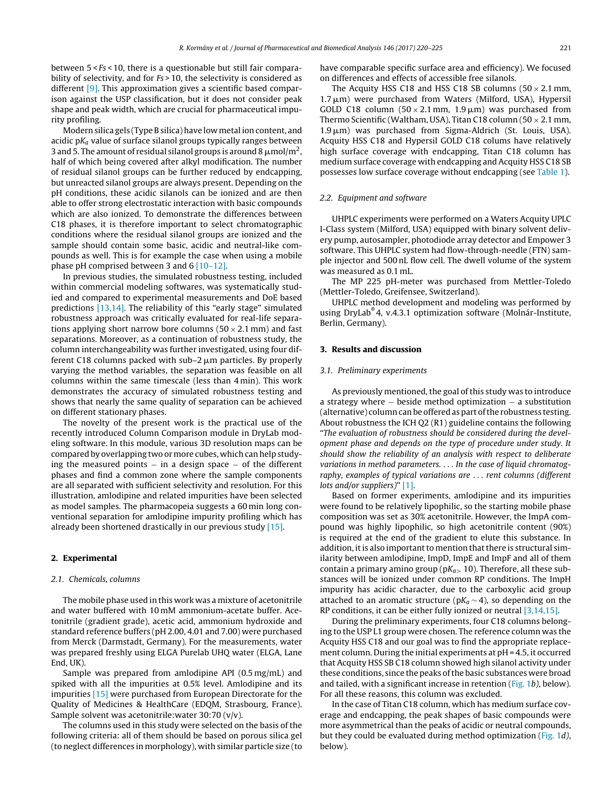between 5 < Fs < 10, there is a questionable but still fair comparability of selectivity, and for Fs > 10, the selectivity is considered as different [\[9\].](#page--1-0) This approximation gives a scientific based comparison against the USP classification, but it does not consider peak shape and peak width, which are crucial for pharmaceutical impurity profiling.

Modern silica gels (Type B silica) have lowmetal ion content, and acidic  $pK_a$  value of surface silanol groups typically ranges between 3 and 5. The amount of residual silanol groups is around 8  $\mu$ mol/m<sup>2</sup>, half of which being covered after alkyl modification. The number of residual silanol groups can be further reduced by endcapping, but unreacted silanol groups are always present. Depending on the pH conditions, these acidic silanols can be ionized and are then able to offer strong electrostatic interaction with basic compounds which are also ionized. To demonstrate the differences between C18 phases, it is therefore important to select chromatographic conditions where the residual silanol groups are ionized and the sample should contain some basic, acidic and neutral-like compounds as well. This is for example the case when using a mobile phase pH comprised between 3 and 6 [\[10–12\].](#page--1-0)

In previous studies, the simulated robustness testing, included within commercial modeling softwares, was systematically studied and compared to experimental measurements and DoE based predictions [\[13,14\].](#page--1-0) The reliability of this "early stage" simulated robustness approach was critically evaluated for real-life separations applying short narrow bore columns ( $50 \times 2.1$  mm) and fast separations. Moreover, as a continuation of robustness study, the column interchangeability was further investigated, using four different C18 columns packed with sub–2  $\mu$ m particles. By properly varying the method variables, the separation was feasible on all columns within the same timescale (less than 4 min). This work demonstrates the accuracy of simulated robustness testing and shows that nearly the same quality of separation can be achieved on different stationary phases.

The novelty of the present work is the practical use of the recently introduced Column Comparison module in DryLab modeling software. In this module, various 3D resolution maps can be compared by overlapping two or more cubes, which can help studying the measured points  $-$  in a design space  $-$  of the different phases and find a common zone where the sample components are all separated with sufficient selectivity and resolution. For this illustration, amlodipine and related impurities have been selected as model samples. The pharmacopeia suggests a 60 min long conventional separation for amlodipine impurity profiling which has already been shortened drastically in our previous study [\[15\].](#page--1-0)

#### **2. Experimental**

#### 2.1. Chemicals, columns

The mobile phase used in this work was a mixture of acetonitrile and water buffered with 10 mM ammonium-acetate buffer. Acetonitrile (gradient grade), acetic acid, ammonium hydroxide and standard reference buffers (pH 2.00, 4.01 and 7.00) were purchased from Merck (Darmstadt, Germany). For the measurements, water was prepared freshly using ELGA Purelab UHQ water (ELGA, Lane End, UK).

Sample was prepared from amlodipine API (0.5 mg/mL) and spiked with all the impurities at 0.5% level. Amlodipine and its impurities [\[15\]](#page--1-0) were purchased from European Directorate for the Quality of Medicines & HealthCare (EDQM, Strasbourg, France). Sample solvent was acetonitrile:water 30:70 (v/v).

The columns used in this study were selected on the basis of the following criteria: all of them should be based on porous silica gel (to neglect differences in morphology), with similar particle size (to have comparable specific surface area and efficiency). We focused on differences and effects of accessible free silanols.

The Acquity HSS C18 and HSS C18 SB columns ( $50 \times 2.1$  mm,  $1.7 \,\mu$ m) were purchased from Waters (Milford, USA), Hypersil GOLD C18 column  $(50 \times 2.1 \text{ mm}, 1.9 \mu \text{m})$  was purchased from Thermo Scientific (Waltham, USA), Titan C18 column (50  $\times$  2.1 mm,  $1.9 \,\mu$ m) was purchased from Sigma-Aldrich (St. Louis, USA). Acquity HSS C18 and Hypersil GOLD C18 colums have relatively high surface coverage with endcapping, Titan C18 column has medium surface coverage with endcapping and Acquity HSS C18 SB possesses low surface coverage without endcapping (see [Table](#page--1-0) 1).

#### 2.2. Equipment and software

UHPLC experiments were performed on a Waters Acquity UPLC I-Class system (Milford, USA) equipped with binary solvent delivery pump, autosampler, photodiode array detector and Empower 3 software. This UHPLC system had flow-through-needle (FTN) sample injector and 500 nL flow cell. The dwell volume of the system was measured as 0.1 mL.

The MP 225 pH-meter was purchased from Mettler-Toledo (Mettler-Toledo, Greifensee, Switzerland).

UHPLC method development and modeling was performed by using DryLab® 4, v.4.3.1 optimization software (Molnár-Institute, Berlin, Germany).

## **3. Results and discussion**

#### 3.1. Preliminary experiments

As previously mentioned, the goal of this study was to introduce a strategy where − beside method optimization − a substitution (alternative) column can be offered as part of the robustness testing. About robustness the ICH Q2 (R1) guideline contains the following "The evaluation of robustness should be considered during the development phase and depends on the type of procedure under study. It should show the reliability of an analysis with respect to deliberate variations in method parameters. . . . In the case of liquid chromatography, examples of typical variations are . . . rent columns (different lots and/or suppliers)" [\[1\].](#page--1-0)

Based on former experiments, amlodipine and its impurities were found to be relatively lipophilic, so the starting mobile phase composition was set as 30% acetonitrile. However, the ImpA compound was highly lipophilic, so high acetonitrile content (90%) is required at the end of the gradient to elute this substance. In addition, it is also important to mention that there is structural similarity between amlodipine, ImpD, ImpE and ImpF and all of them contain a primary amino group ( $pK_{a>}$  10). Therefore, all these substances will be ionized under common RP conditions. The ImpH impurity has acidic character, due to the carboxylic acid group attached to an aromatic structure ( $pK_a \sim 4$ ), so depending on the RP conditions, it can be either fully ionized or neutral [\[3,14,15\].](#page--1-0)

During the preliminary experiments, four C18 columns belonging to the USP L1 group were chosen. The reference column was the Acquity HSS C18 and our goal was to find the appropriate replacement column. During the initial experiments at pH = 4.5, it occurred that Acquity HSS SB C18 column showed high silanol activity under these conditions, since the peaks ofthe basic substances were broad and tailed, with a significant increase in retention [\(Fig.](#page--1-0) 1b), below). For all these reasons, this column was excluded.

In the case of Titan C18 column, which has medium surface coverage and endcapping, the peak shapes of basic compounds were more asymmetrical than the peaks of acidic or neutral compounds, but they could be evaluated during method optimization [\(Fig.](#page--1-0) 1d), below).